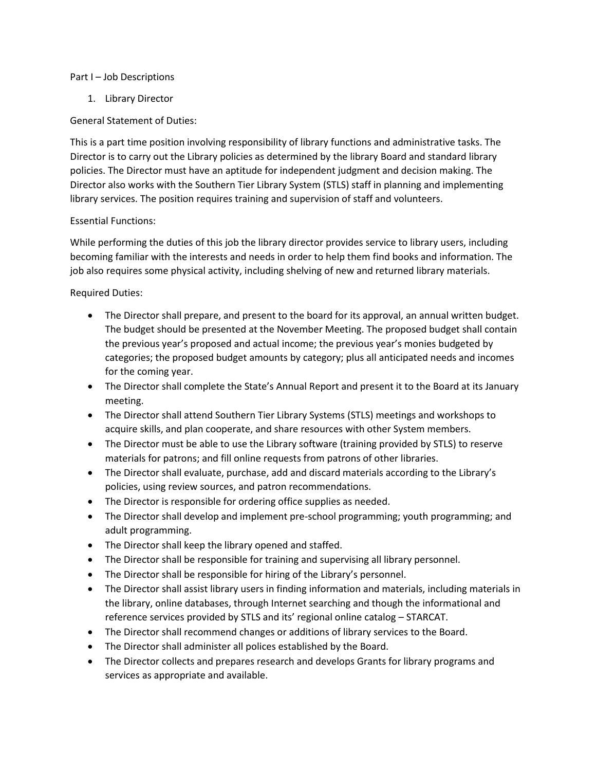## Part I – Job Descriptions

1. Library Director

## General Statement of Duties:

This is a part time position involving responsibility of library functions and administrative tasks. The Director is to carry out the Library policies as determined by the library Board and standard library policies. The Director must have an aptitude for independent judgment and decision making. The Director also works with the Southern Tier Library System (STLS) staff in planning and implementing library services. The position requires training and supervision of staff and volunteers.

## Essential Functions:

While performing the duties of this job the library director provides service to library users, including becoming familiar with the interests and needs in order to help them find books and information. The job also requires some physical activity, including shelving of new and returned library materials.

Required Duties:

- The Director shall prepare, and present to the board for its approval, an annual written budget. The budget should be presented at the November Meeting. The proposed budget shall contain the previous year's proposed and actual income; the previous year's monies budgeted by categories; the proposed budget amounts by category; plus all anticipated needs and incomes for the coming year.
- The Director shall complete the State's Annual Report and present it to the Board at its January meeting.
- The Director shall attend Southern Tier Library Systems (STLS) meetings and workshops to acquire skills, and plan cooperate, and share resources with other System members.
- The Director must be able to use the Library software (training provided by STLS) to reserve materials for patrons; and fill online requests from patrons of other libraries.
- The Director shall evaluate, purchase, add and discard materials according to the Library's policies, using review sources, and patron recommendations.
- The Director is responsible for ordering office supplies as needed.
- The Director shall develop and implement pre-school programming; youth programming; and adult programming.
- The Director shall keep the library opened and staffed.
- The Director shall be responsible for training and supervising all library personnel.
- The Director shall be responsible for hiring of the Library's personnel.
- The Director shall assist library users in finding information and materials, including materials in the library, online databases, through Internet searching and though the informational and reference services provided by STLS and its' regional online catalog – STARCAT.
- The Director shall recommend changes or additions of library services to the Board.
- The Director shall administer all polices established by the Board.
- The Director collects and prepares research and develops Grants for library programs and services as appropriate and available.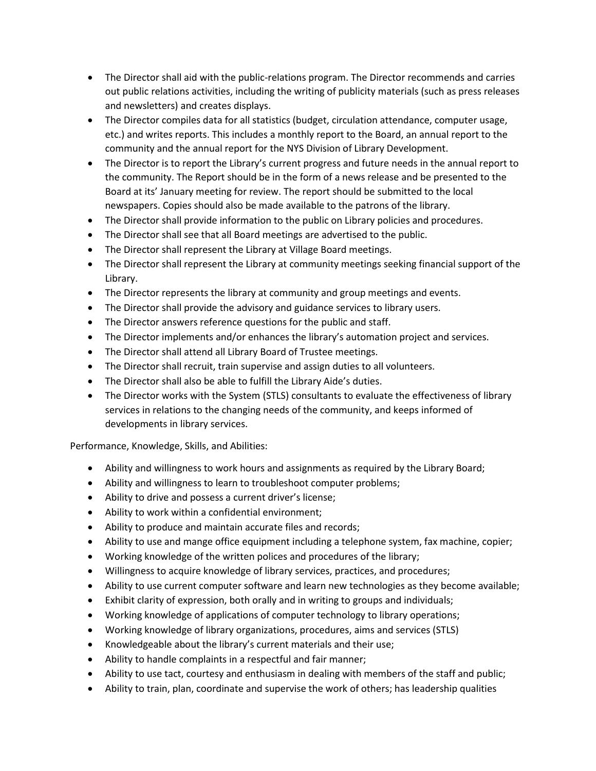- The Director shall aid with the public-relations program. The Director recommends and carries out public relations activities, including the writing of publicity materials (such as press releases and newsletters) and creates displays.
- The Director compiles data for all statistics (budget, circulation attendance, computer usage, etc.) and writes reports. This includes a monthly report to the Board, an annual report to the community and the annual report for the NYS Division of Library Development.
- The Director is to report the Library's current progress and future needs in the annual report to the community. The Report should be in the form of a news release and be presented to the Board at its' January meeting for review. The report should be submitted to the local newspapers. Copies should also be made available to the patrons of the library.
- The Director shall provide information to the public on Library policies and procedures.
- The Director shall see that all Board meetings are advertised to the public.
- The Director shall represent the Library at Village Board meetings.
- The Director shall represent the Library at community meetings seeking financial support of the Library.
- The Director represents the library at community and group meetings and events.
- The Director shall provide the advisory and guidance services to library users.
- The Director answers reference questions for the public and staff.
- The Director implements and/or enhances the library's automation project and services.
- The Director shall attend all Library Board of Trustee meetings.
- The Director shall recruit, train supervise and assign duties to all volunteers.
- The Director shall also be able to fulfill the Library Aide's duties.
- The Director works with the System (STLS) consultants to evaluate the effectiveness of library services in relations to the changing needs of the community, and keeps informed of developments in library services.

Performance, Knowledge, Skills, and Abilities:

- Ability and willingness to work hours and assignments as required by the Library Board;
- Ability and willingness to learn to troubleshoot computer problems;
- Ability to drive and possess a current driver's license;
- Ability to work within a confidential environment;
- Ability to produce and maintain accurate files and records;
- Ability to use and mange office equipment including a telephone system, fax machine, copier;
- Working knowledge of the written polices and procedures of the library;
- Willingness to acquire knowledge of library services, practices, and procedures;
- Ability to use current computer software and learn new technologies as they become available;
- Exhibit clarity of expression, both orally and in writing to groups and individuals;
- Working knowledge of applications of computer technology to library operations;
- Working knowledge of library organizations, procedures, aims and services (STLS)
- Knowledgeable about the library's current materials and their use;
- Ability to handle complaints in a respectful and fair manner;
- Ability to use tact, courtesy and enthusiasm in dealing with members of the staff and public;
- Ability to train, plan, coordinate and supervise the work of others; has leadership qualities